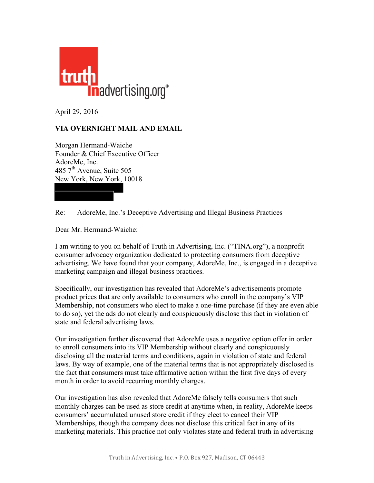

April 29, 2016

## **VIA OVERNIGHT MAIL AND EMAIL**

Morgan Hermand-Waiche Founder & Chief Executive Officer AdoreMe, Inc. 485  $7<sup>th</sup>$  Avenue, Suite 505 New York, New York, 10018

Re: AdoreMe, Inc.'s Deceptive Advertising and Illegal Business Practices

Dear Mr. Hermand-Waiche:

I am writing to you on behalf of Truth in Advertising, Inc. ("TINA.org"), a nonprofit consumer advocacy organization dedicated to protecting consumers from deceptive advertising. We have found that your company, AdoreMe, Inc., is engaged in a deceptive marketing campaign and illegal business practices.

Specifically, our investigation has revealed that AdoreMe's advertisements promote product prices that are only available to consumers who enroll in the company's VIP Membership, not consumers who elect to make a one-time purchase (if they are even able to do so), yet the ads do not clearly and conspicuously disclose this fact in violation of state and federal advertising laws.

Our investigation further discovered that AdoreMe uses a negative option offer in order to enroll consumers into its VIP Membership without clearly and conspicuously disclosing all the material terms and conditions, again in violation of state and federal laws. By way of example, one of the material terms that is not appropriately disclosed is the fact that consumers must take affirmative action within the first five days of every month in order to avoid recurring monthly charges.

Our investigation has also revealed that AdoreMe falsely tells consumers that such monthly charges can be used as store credit at anytime when, in reality, AdoreMe keeps consumers' accumulated unused store credit if they elect to cancel their VIP Memberships, though the company does not disclose this critical fact in any of its marketing materials. This practice not only violates state and federal truth in advertising